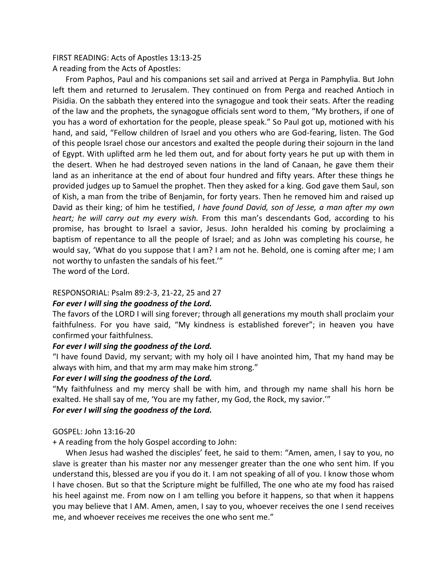FIRST READING: Acts of Apostles 13:13-25 A reading from the Acts of Apostles:

From Paphos, Paul and his companions set sail and arrived at Perga in Pamphylia. But John left them and returned to Jerusalem. They continued on from Perga and reached Antioch in Pisidia. On the sabbath they entered into the synagogue and took their seats. After the reading of the law and the prophets, the synagogue officials sent word to them, "My brothers, if one of you has a word of exhortation for the people, please speak." So Paul got up, motioned with his hand, and said, "Fellow children of Israel and you others who are God-fearing, listen. The God of this people Israel chose our ancestors and exalted the people during their sojourn in the land of Egypt. With uplifted arm he led them out, and for about forty years he put up with them in the desert. When he had destroyed seven nations in the land of Canaan, he gave them their land as an inheritance at the end of about four hundred and fifty years. After these things he provided judges up to Samuel the prophet. Then they asked for a king. God gave them Saul, son of Kish, a man from the tribe of Benjamin, for forty years. Then he removed him and raised up David as their king; of him he testified, *I have found David, son of Jesse, a man after my own heart; he will carry out my every wish.* From this man's descendants God, according to his promise, has brought to Israel a savior, Jesus. John heralded his coming by proclaiming a baptism of repentance to all the people of Israel; and as John was completing his course, he would say, 'What do you suppose that I am? I am not he. Behold, one is coming after me; I am not worthy to unfasten the sandals of his feet.'"

The word of the Lord.

#### RESPONSORIAL: Psalm 89:2-3, 21-22, 25 and 27

#### *For ever I will sing the goodness of the Lord.*

The favors of the LORD I will sing forever; through all generations my mouth shall proclaim your faithfulness. For you have said, "My kindness is established forever"; in heaven you have confirmed your faithfulness.

## *For ever I will sing the goodness of the Lord.*

"I have found David, my servant; with my holy oil I have anointed him, That my hand may be always with him, and that my arm may make him strong."

## *For ever I will sing the goodness of the Lord.*

"My faithfulness and my mercy shall be with him, and through my name shall his horn be exalted. He shall say of me, 'You are my father, my God, the Rock, my savior.'"

## *For ever I will sing the goodness of the Lord.*

## GOSPEL: John 13:16-20

+ A reading from the holy Gospel according to John:

When Jesus had washed the disciples' feet, he said to them: "Amen, amen, I say to you, no slave is greater than his master nor any messenger greater than the one who sent him. If you understand this, blessed are you if you do it. I am not speaking of all of you. I know those whom I have chosen. But so that the Scripture might be fulfilled, The one who ate my food has raised his heel against me. From now on I am telling you before it happens, so that when it happens you may believe that I AM. Amen, amen, I say to you, whoever receives the one I send receives me, and whoever receives me receives the one who sent me."